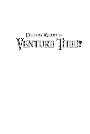## **DENIS KIRBY'S** VENTURE THEE?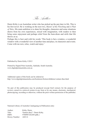*The Author*

Denis Kirby is an Australian writer who has picked up the pen later in life. This is his first novel. He is working on the next two, *Master of the Fletching* and *A Plait of Tales*. His main ambition is to share his thoughts, characters and some situations drawn from his own experiences, mixed with imagination, with readers to then bring some enjoyment and perhaps relief from the hum-drum and strife that life throws at us.

Perhaps this is best said with his words 'This book is but a window, a wonderful window with a wonderful view of another time and place, its characters and events. Come with me now, relax, watch and enjoy.'

Published by Denis Kirby ©2012

Printed by Digital Print Australia, Adelaide, South Australia. www.digitalprintaustralia.com.au

Additional copies of this book can be ordered at: http://www.digitalprintaustralia.com/bookstore/fiction/childrens/venture-thee.html

No part of this publication may be produced (except brief extracts for the purpose of review), stored in a retrieval system in any form or by any means, electronic, mechanical, photocopying, recording or otherwise, without the prior written permission of the publisher.

National Library of Australia Cataloguing-in-Publication entry

Author: Kirby, Denis. Title: Venture thee? / Denis Kirby. ISBN: 9780987242204 (pbk.) Dewey Number: A823.4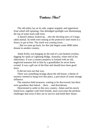## **Venture Thee?**

The old utility lay on its side, engine stopped, and uppermost front wheel still spinning. One dislodged spotlight was illuminating the top of some track-side trees.

A dazed Lindsay looked up….into the drooling jaws of a huge, rabid animal. Its teeth were tearing at the protective steel mesh in a frenzy to get at him. The mesh was coming loose……

…But we must go back, for this tale begins some 9000 miles distant in another country.

Adam Kirby was hanging on the end of a sun-heated crowbar, digging for opals at Lightning Ridge, Australia, when told of his inheritance. It was a country property in Ireland with an old, neglected mansion left to him by a grandfather he never knew existed. It was a gift out of the blue and should have been good news.

It did not turn out that way.

There was something strange about the old house; a theme of mystery seemed to hang over this place, a pervasion of some strange influence.

The mansion held treasures, waiting to be discovered, but there were guardians that lurked….there …and thereabouts.

Determined to settle in this new country, Adam and his newly found love, together with Irish friends, must overcome the perilous challenges that arise if they are to survive and build their future.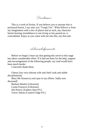*Disclaimer*

This is a work of fiction. If you believe you or anyone else is portrayed herein, I say unto you "Tough Tits". What follows is from my imagination with a mix of places and as such, any character herein bearing resemblance to one living or has passed on, is coincidental. Enjoy as you come with me into this, my first tale.

*Acknowledgements*

Before we begin I must say that getting this novel to this stage has taken considerable effort. If it had not been for the help, support and encouragement of the following people, my road would have been much harder.

I sincerely thank them.

Glenys [my very tolerant wife and chief cook and subtle disciplinarian]

Betty Mc Kinnon [a real spur to my efforts. Sadly now deceased]

Barbara Maslen [Librarian] Lynne Fouracre [Librarian] Jim Pearce [Authors Spot P/L] Travis Atkins [Creative Edge P/L]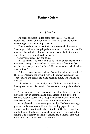## **Venture Thee?**

## *1 of Part One*

The flight attendant smiled at the man in seat 74D as she approached the rear of the Jumbo 747 aircraft. It was the normal, welcoming expression to all passengers.

She noticed the way his smile in return seemed a bit strained. Glancing at his hands that gripped the armrests of the seat so that his knuckles showed white through the tanned skin, she let the smile linger longer than normal as she paused.

"Everything okay sir?" she asked.

"It"ll do thanks." he replied but as he looked at her, his pale blue eyes gave it away. The attendant had seen many a first time flyer and this one was typical of the breed. He had what was called "white knuckle fever".

 "Please fasten your seat belt sir. We will be taking off shortly." The phrase "leaving the ground" was to be always avoided in their repertoire. As she spoke, the plane began to move. She walked up the aisle.

This indeed was Adam Kirby"s first flight and as the whine of the engines came to his attention, he wanted to be anywhere else but here.

As the plane sat on the runway and the whine from great engines increased with an accompanying slight vibration, his grip on the armrests became severe and a thought landed suddenly in his mind *for Christ's sake settle down…don't hit the panic button!*

Adam glanced at other passengers nearby. The bloke wearing a grey suit in the seat next to him put his reading papers into a briefcase and stowed it under the seat in front. He then clipped his seat belt with a loud professional click and adjusted his seat to the upright. The efficiency of the movements had a slightly annoying effect on Adam. *Smart arse* came to mind.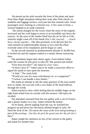He peered up the aisle towards the front of the plane and apart from three flight attendants taking their seats after final checks on seatbelts and luggage lockers, everyone but him seemed calm. Some passengers were chatting in a relaxed way. A few seats in front, a woman laughed at an aside comment.

 His mood changed for the worse when the noise of the engines increased and the craft began to move at an incredible rate down the runway. As the nose of the Jumbo lifted into the air he felt as if the armrests might come off in his hands *Don't shit yourself… …clench those cheeks together…*The idea persisted, so he did just that for what seemed an indeterminable minute or two until the effort overrode some of his trepidation and he began to calm.

As the aircraft attained its predetermined altitude of 36,000 feet, it leveled out and the engines settled to a steady almost reassuring tone.

The attendants began their duties again. From behind Adam came the woman he met prior to take-off. She paused and smiled.

"First time traveller?" she asked in a low voice.

"It shows does it?" Adam said as he made a conscious effort to signal his hands to ease upon the armrests.

"A little." The smile held.

"Would you care for some refreshment sir, or a magazine?"

"I reckon I can handle a beer thanks."

She made an attempt to ask the same question of the man seated next to Adam, but was met with a curt shake of the head halfway through the words.

Adam started to relax while feeling that his middle finger on the right hand ached from its wrestle with the armrest. *Old injury* he recalled.

The attendant returned from the rear galley with a can of Fosters and a plastic beaker on a tray. Adam refused the beaker.

As he drank, almost sipping from the can, he watched her progress up and down her obviously allotted length of aisle. He liked the look of her. *Of course the sway of the arse and grooming is part of the package…but they do pick the good ones for the job don't they?*

Adam caught her attention on one of her returns to the galley and asked for another beer.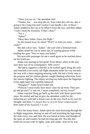"There you are sir." the attendant said.

"Thanks..but…..lets drop the sir, from what they tell me, this is going to be a long trip and I reckon I can handle a few of these." Adam nodded to the can as he lifted it from the tray, and then added "I don"t need the formality if that"s okay?"

"Yes s..."

"Adam!"

"Okay then Adam. Enjoy the flight."

As she turned away he asked "Well I've told you mine....what's yours?"

She did a slow turn. "Isabel." she said with a bemused look.

Adam raised his can in some sort of toasting gesture while holding her gaze "Nice to meet you Isabel."

His arm-side passenger let out a small grunt as he reached down for his briefcase.

Adam was starting to feel good. Even *Mister silent* in the seat next door was of no consequence. *Who cares?*

He had to suppress a chuckle as he looked again along the aisle and watched a not overly tall flight attendant make his way towards the rear with a short-stepping mincing walk. He had a lively step to the purpose and his rimless glasses caught flashing reflections from the interior lighting. The empty serving tray held upon the fingertips of his right hand was superbly balanced.

"Douglass?" Adam heard Isabel ask.

"Princess I must really have more colas for up front. They just go and go and I"ve run out, I mean completely out my sweet!"

Adam watched Doug go back up the aisle with those quick little steps. He smiled and had to give the attendant credit for the balancing act with half a dozen cans on the tray. *Each to his own* he thought, and then *I've heard they're of a lot better temperament than some of the bastards I've met.*

Over the many hours, Adam spent his time browsing through the in-flight magazines, dozing on and off and stretching his legs along the aisle every now and then. He was bored at times and thought of the open air and country he had not long ago left. Not like this artificial cocoon with its lights, seats and carpet. And yet he was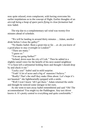now quite relaxed, even complacent, with having overcome his earlier trepidations as to the concept of flight. Earlier thoughts of an *aircraft being a heap of spare parts flying in close formation* had now faded.

The trip due to a complementary tail wind was twenty-five minutes ahead of schedule.

"We will be landing in around thirty minutes …Adam, another drink before I close the galley?"

"No thanks Isabel. Been a great trip so far….er..do you know of a good place to stay overnight in London?"

"There are many."

"I guess so."

"You are going further?"

"Ireland, down near the city of Cork." Then he added in a slightly raised voice for the benefit of his next-seated neighbour "I"ve been left a substantial holding there and thought I should drop by and check it out."

"Lucky you!" Isabel said in mild surprise.

"Yeah! A lot of acres and a big ol' mansion I believe."

"Really! That's the stuff they make films about. Let's hope it's not haunted." she lightheartedly quipped with a smile.

"Well I won't know 'till I get there." Adam returned the smile and thought he noticed some intrigue in her eyes.

As she went to turn away Isabel remembered and said "Oh! The accommodation! You might try the Paddington. Any taxi driver knows it. It's pretty central to everything and quite comfortable."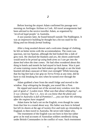Before leaving the airport Adam confirmed his passage next morning on Aerlingus Airlines to Cork. All travel arrangements had been advised to the novice traveller Adam, as organized by 'involved legal people' in Australia.

A taxi journey later, he found himself outside The Paddington. It was an impressive building he thought but a bit too staid for his liking *and too bloody formal looking.*

After a long awaited shower and a welcome change of clothing, he felt on better terms with the accommodation. The room was spacious, not too Spartan, although the bed looked like a slab of grey rock. He checked the blankets and *yes, the sheets underneath would need to be prised up using both arms so I can get into the damn bed when the time comes.* He had often wondered about this thing in hotels and motels he had stayed in back home. Was it part of some training course that bed-makers go through or are the kindhearted old dears unaware of their own strength? While knowing that his big feet had a fair grip on *Terra Firma* at any time, did he have to risk breaking his toes when he turned over through the night?

Adam grabbed a beer from the small fridge and moved to the window. *Stop whingeing* he thought, *you sound like a Pom.*

He sipped and stared out of the second story window over this part of good *ol' London town. What was that about whingeing?...no it was whining! That's it…how do you know that the plane just landed in Australia is full of Pommies?......you can hear the whining after the engines have stopped!*

Adam knew he had a set on the English, even though he came from that line in a round about way. His father was born in Ireland but left its shores at the age of twenty-five and took up citizenship in England, to then travel to Australia. He never told Adam why.

The resentment of the English was not born in him but rather grew as he read accounts of Australian soldiers needlessly dying under British Commanders in the conflict of wars. Such resentment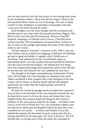was not only borne by him but had shown its face during those times by the Australian soldiers. These men did not respect officers who were granted Officer Status by way of heritage. This was in sharp contrast to their allegiance to Australian Commanders who had "come up to the mark through the ranks".

Such thoughts over the years merged with the occasional tale, whether true or not, from some old returned and bitter Diggers. The like of which was that after the fucked-up "Winston Churchill inspired" campaigns at Gallipoli and in Greece, Churchill never visited Australia. This presumption was passed down, rumour or not, to many in the younger generations and some of this bitter shit sticks in one's mind.

And the raping of Australia"s resources in the 1800"s, that saw three million ounces of gold from diggings at Ballarrat and Bendigo go back to good old Mother E together with 120,000 tons of Australian Teak gathered from the Tweed Heads region in Queensland alone, were but samples that had nurtured his bitterness over the years towards the English. The feeling that such things were not common knowledge also piqued him and he often felt that he was the only silly bastard who was saddened by such facts.

The thought of the legal commandeering of thousands of these trees 150 feet high and 5 feet through was stunning to his mind. Adam considered it theft coupled with a total disregard of the new country and its future, to then be mixed with the self adopted superiority over others that the English prided, and still do, themselves on.

He knew he carried the grudge and he accepted that it gnawed away at him to the detriment of his own character towards the race. He had tried to wave it off over the years and indeed met a few English blokes that seemed alright but things he discovered in literature as the years passed, kept the fire alight….recorded events such as at the end of World War Two, the Australian soldiers were not allowed to march past Buckingham Palace because they were considered as too unruly…. cowboys and larrikins if you like, labeled thus despite the thousands of good, young souls that lay, having clutched with all hope gone, the stock or barrel of .303 Lee Enfield rifle, on foreign soil to then die under the command of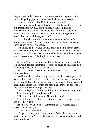English Overlords. These lost lives were a serious depletion of a small, fledgeling population that would take decades to adjust.

After all they were but Colonials were they not?

The New Zealanders could parade past the Palace however, and did. Despite the ANZAC brotherhood, Adam could never understand why the New Zealanders had not told the powers that were "If the Aussies can"t march past the bloody thing then we won't either, so stick it up your arse!'

Such thoughts got in the way of any softening of Adam"s attitude towards any Pom, even more so than any from that island showing any form of snobbery.

The things he discovered and his growing dislike for the breed had occurred mainly after his dad had passed away. He was never sure that he could ever have confronted his father with them together with his resentment of the English, in any case.

Snapping back now from such thoughts, Adam turned from the window and decided that this morose mood could be lightened by a walk and perhaps a meal somewhere.

As he descended the stairs to the foyer he saw Isabel at the reception desk.

And immediately felt a little guilty with his first assumptions of a dressed up Barbie doll in an airline uniform. She was a woman in her own right. Sure the airline uniform gave grace to the figure…but as she turned from the counter, the sparkling surprise in her eyes as she saw him did something to his chest.

"Well G'day!" was all his bumbling out-back country boy mind could summon up in that split second.

"Ah! The Lord of the manor! Good afternoon."

The uniformed reception clerk stopped whatever he was doing and stared at Adam.

Adam was sort of stuck for something to say but managed a meek "And also to you."

"I see you have booked in."

"Er..yes!..I was just on my way out to find a place to eat and stretch the legs a bit." He held her gaze. "All that cramped thirty odd hours you know."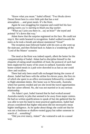"Know what you mean." Isabel offered. "Two blocks down Dorset Street here is a nice little pub that has a real atmosphere…..and great meals. It's the Kent.

Again he was struggling for response and could feel his face getting warm *you're starting to blush you big wacker.*

"What say I join you there in…say an hour?" she toyed and pointed "it's down that way."

Adam knew that the surprise registered on his face. He could not stop it. Her smile beamed in recognition. Isabel walked towards the stairs as he took a breath and almost stammered "Great!"

The reception man followed Isabel with his eyes as she went up the staircase, and then flicked back to Adam in a wondering of the "Lord of the Manor" scenario.

The meal at the Kent was indeed superb, albeit the better for the companionship of Isabel. Adam had to discipline himself to the etiquette of eating small mouthfuls of food, the protocol of such had been neglected for many of his years in outback Australia where home-cooked meals in a pub were shoveled in as fast as one could chew and swallow.

There had only been small talk exchanged during the course of dinner. Isabel had been with the airline for eleven years, the first six of which she spent in an office environment followed by a transfer to flight attendant duties. Her home was in Newcastle, Australia where her parents resided and yes she loved the travel opportunities that her career offered. No, she was not married or in any serious relationship.

On Adam"s part, Isabel learned that he had worked around Australia mainly in jobs that seemed to be away from major centres. He had no written qualifications to speak of but she gathered that he was able to turn his hand to most practical applications. Isabel had always considered that higher education did not necessarily mean higher intelligence. As he spoke about things she could see that he was not a footloose or shallow-rooted gypsy but rather someone in search of… something?

"Did you ever marry, Adam?" she ventured to ask in a casual way.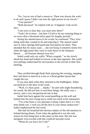"No. I never sort of had a reason to. There was always the work to do and I guess I didn"t run into the right person in my travels."

"Your parents?"

"Both deceased." he replied with an "it happens" look on his face.

"I am sorry to hear that, you must miss them?"

"Yeah I do at times…but then I"d left to do my roaming thing so we were often a thousand miles apart for lengthy periods."

Seeing her attentiveness to his words, he continued "They were doing what they wanted to do and enjoying it. The annual camel race in Alice Springs held particular fascination for them. They attended that for many years…..the last being in nineteen ninety five when the light plane they were in went down in the Simpson Desert……all fourteen aboard were lost."

Isabel could only say softly "What a tragedy." as she slowly shook her head and looked in sorrow at the man opposite. She could now perhaps understand his nervousness in the aircraft at their first meeting.

They strolled through Hyde Park enjoying the evening, stopping here and there to marvel at a tree or a floral garden layout that caught the eye.

It was near dark when they returned to the Paddington. Adam escorted her to the door of her room.

"Well, it's been great.... thanks." he said with slight floundering for words. He did not how to end these things. He really was a novice, and a very inexperienced one at that.

Isabel lent back against the wood panelling on the wall and looked into his eyes trying not to smile too much at his uneasiness.

"Yes it has been a very pleasant evening Adam and it is I who must thank you. I wish you all the best in your future endeavours." Isabel emphasized the last word.

She had not broached the obvious subject of the old mansion in Ireland during dinner. From what she gathered it was the only reason for him being here at this place at this time. But she was intrigued, even excited with this could-be fairytale event.

"When do you leave for Cork?"